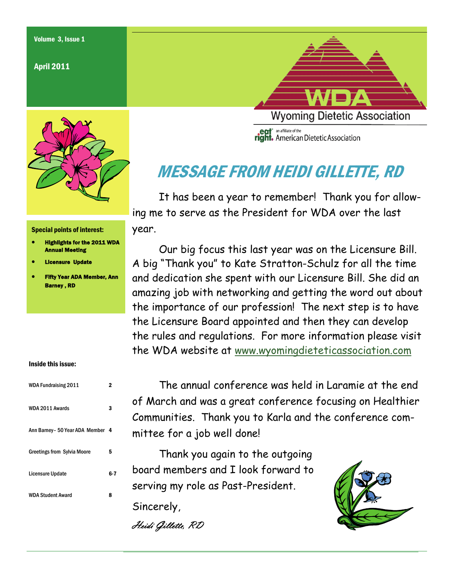### April 2011



#### Special points of interest:

- Highlights for the 2011 WDA Annual Meeting
- Licensure Update
- Fifty Year ADA Member, Ann Barney , RD

#### Inside this issue:

| <b>WDA Fundraising 2011</b>        | 7   |
|------------------------------------|-----|
| WDA 2011 Awards                    | 3   |
| Ann Barney - 50 Year ADA Member 4  |     |
| <b>Greetings from Sylvia Moore</b> | 5   |
| <b>Licensure Update</b>            | 6-7 |
| <b>WDA Student Award</b>           | 8   |

**Wyoming Dietetic Association egt** an affiliate of the<br> **right.** American Dietetic Association

# MESSAGE FROM HEIDI GILLETTE, RD

 It has been a year to remember! Thank you for allowing me to serve as the President for WDA over the last year.

 Our big focus this last year was on the Licensure Bill. A big "Thank you" to Kate Stratton-Schulz for all the time and dedication she spent with our Licensure Bill. She did an amazing job with networking and getting the word out about the importance of our profession! The next step is to have the Licensure Board appointed and then they can develop the rules and regulations. For more information please visit the WDA website at [www.wyomingdieteticassociation.com](http://www.wyomingdieteticassociation.com)

 The annual conference was held in Laramie at the end of March and was a great conference focusing on Healthier Communities. Thank you to Karla and the conference committee for a job well done!

 Thank you again to the outgoing board members and I look forward to serving my role as Past-President.

Sincerely,

Heidi Gillette, RD

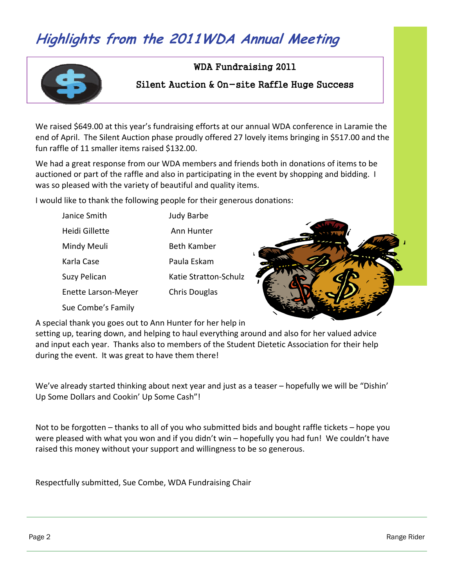# **Highlights from the 2011WDA Annual Meeting**



### WDA Fundraising 2011

### Silent Auction & On-site Raffle Huge Success

We raised \$649.00 at this year's fundraising efforts at our annual WDA conference in Laramie the end of April. The Silent Auction phase proudly offered 27 lovely items bringing in \$517.00 and the fun raffle of 11 smaller items raised \$132.00.

We had a great response from our WDA members and friends both in donations of items to be auctioned or part of the raffle and also in participating in the event by shopping and bidding. I was so pleased with the variety of beautiful and quality items.

I would like to thank the following people for their generous donations:

| Janice Smith               | Judy Barbe            |
|----------------------------|-----------------------|
| Heidi Gillette             | Ann Hunter            |
| Mindy Meuli                | <b>Beth Kamber</b>    |
| Karla Case                 | Paula Eskam           |
| Suzy Pelican               | Katie Stratton-Schulz |
| <b>Enette Larson-Meyer</b> | <b>Chris Douglas</b>  |
| Sue Combe's Family         |                       |



A special thank you goes out to Ann Hunter for her help in

setting up, tearing down, and helping to haul everything around and also for her valued advice and input each year. Thanks also to members of the Student Dietetic Association for their help during the event. It was great to have them there!

We've already started thinking about next year and just as a teaser – hopefully we will be "Dishin' Up Some Dollars and Cookin' Up Some Cash"!

Not to be forgotten – thanks to all of you who submitted bids and bought raffle tickets – hope you were pleased with what you won and if you didn't win – hopefully you had fun! We couldn't have raised this money without your support and willingness to be so generous.

Respectfully submitted, Sue Combe, WDA Fundraising Chair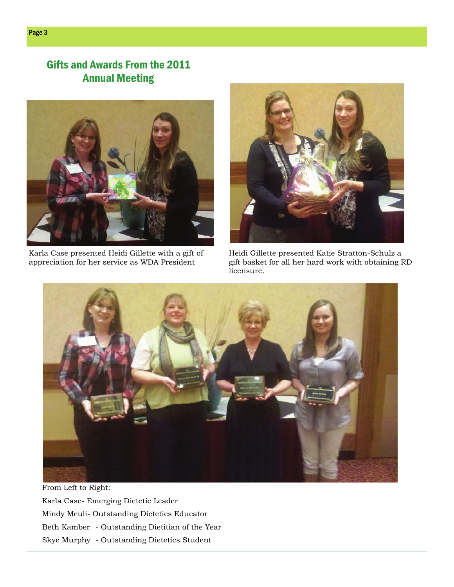## Gifts and Awards From the 2011 Annual Meeting



Karla Case presented Heidi Gillette with a gift of appreciation for her service as WDA President



Heidi Gillette presented Katie Stratton-Schulz a gift basket for all her hard work with obtaining RD licensure.



From Left to Right: Karla Case- Emerging Dietetic Leader Mindy Meuli- Outstanding Dietetics Educator Beth Kamber - Outstanding Dietitian of the Year Skye Murphy - Outstanding Dietetics Student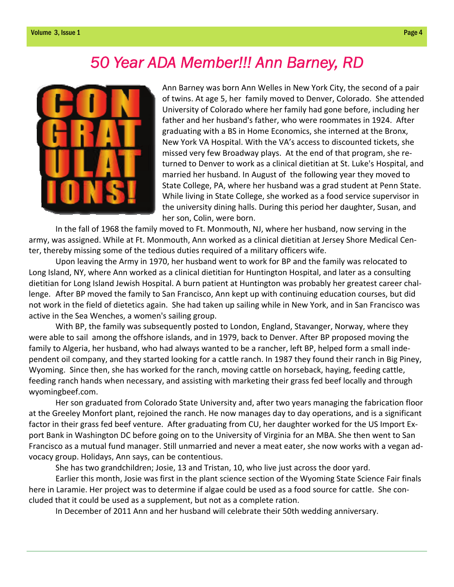# *50 Year ADA Member!!! Ann Barney, RD*



Ann Barney was born Ann Welles in New York City, the second of a pair of twins. At age 5, her family moved to Denver, Colorado. She attended University of Colorado where her family had gone before, including her father and her husband's father, who were roommates in 1924. After graduating with a BS in Home Economics, she interned at the Bronx, New York VA Hospital. With the VA's access to discounted tickets, she missed very few Broadway plays. At the end of that program, she re‐ turned to Denver to work as a clinical dietitian at St. Luke's Hospital, and married her husband. In August of the following year they moved to State College, PA, where her husband was a grad student at Penn State. While living in State College, she worked as a food service supervisor in the university dining halls. During this period her daughter, Susan, and her son, Colin, were born.

In the fall of 1968 the family moved to Ft. Monmouth, NJ, where her husband, now serving in the army, was assigned. While at Ft. Monmouth, Ann worked as a clinical dietitian at Jersey Shore Medical Cen‐ ter, thereby missing some of the tedious duties required of a military officers wife.

Upon leaving the Army in 1970, her husband went to work for BP and the family was relocated to Long Island, NY, where Ann worked as a clinical dietitian for Huntington Hospital, and later as a consulting dietitian for Long Island Jewish Hospital. A burn patient at Huntington was probably her greatest career chal‐ lenge. After BP moved the family to San Francisco, Ann kept up with continuing education courses, but did not work in the field of dietetics again. She had taken up sailing while in New York, and in San Francisco was active in the Sea Wenches, a women's sailing group.

With BP, the family was subsequently posted to London, England, Stavanger, Norway, where they were able to sail among the offshore islands, and in 1979, back to Denver. After BP proposed moving the family to Algeria, her husband, who had always wanted to be a rancher, left BP, helped form a small inde‐ pendent oil company, and they started looking for a cattle ranch. In 1987 they found their ranch in Big Piney, Wyoming. Since then, she has worked for the ranch, moving cattle on horseback, haying, feeding cattle, feeding ranch hands when necessary, and assisting with marketing their grass fed beef locally and through wyomingbeef.com.

Her son graduated from Colorado State University and, after two years managing the fabrication floor at the Greeley Monfort plant, rejoined the ranch. He now manages day to day operations, and is a significant factor in their grass fed beef venture. After graduating from CU, her daughter worked for the US Import Ex‐ port Bank in Washington DC before going on to the University of Virginia for an MBA. She then went to San Francisco as a mutual fund manager. Still unmarried and never a meat eater, she now works with a vegan ad‐ vocacy group. Holidays, Ann says, can be contentious.

She has two grandchildren; Josie, 13 and Tristan, 10, who live just across the door yard.

Earlier this month, Josie was first in the plant science section of the Wyoming State Science Fair finals here in Laramie. Her project was to determine if algae could be used as a food source for cattle. She con‐ cluded that it could be used as a supplement, but not as a complete ration.

In December of 2011 Ann and her husband will celebrate their 50th wedding anniversary.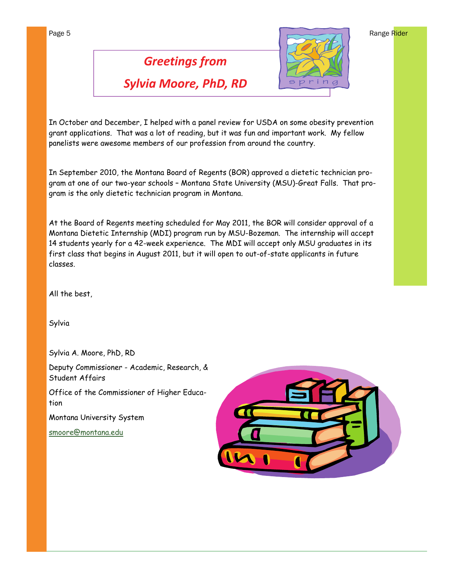# *Greetings from Sylvia Moore, PhD, RD*

In October and December, I helped with a panel review for USDA on some obesity prevention grant applications. That was a lot of reading, but it was fun and important work. My fellow panelists were awesome members of our profession from around the country.

In September 2010, the Montana Board of Regents (BOR) approved a dietetic technician program at one of our two-year schools – Montana State University (MSU)-Great Falls. That program is the only dietetic technician program in Montana.

At the Board of Regents meeting scheduled for May 2011, the BOR will consider approval of a Montana Dietetic Internship (MDI) program run by MSU-Bozeman. The internship will accept 14 students yearly for a 42-week experience. The MDI will accept only MSU graduates in its first class that begins in August 2011, but it will open to out-of-state applicants in future classes.

All the best,

Sylvia

Sylvia A. Moore, PhD, RD

Deputy Commissioner - Academic, Research, & Student Affairs

Office of the Commissioner of Higher Education

Montana University System

[smoore@montana.edu](mailto:smoore@montana.edu)



spring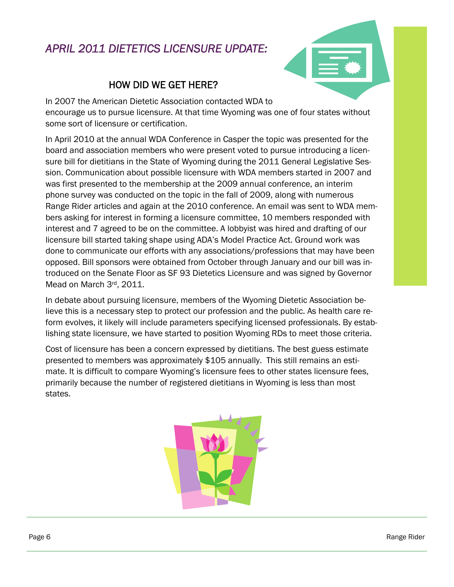## *APRIL 2011 DIETETICS LICENSURE UPDATE:*



### HOW DID WE GET HERE?

In 2007 the American Dietetic Association contacted WDA to encourage us to pursue licensure. At that time Wyoming was one of four states without some sort of licensure or certification.

In April 2010 at the annual WDA Conference in Casper the topic was presented for the board and association members who were present voted to pursue introducing a licensure bill for dietitians in the State of Wyoming during the 2011 General Legislative Session. Communication about possible licensure with WDA members started in 2007 and was first presented to the membership at the 2009 annual conference, an interim phone survey was conducted on the topic in the fall of 2009, along with numerous Range Rider articles and again at the 2010 conference. An email was sent to WDA members asking for interest in forming a licensure committee, 10 members responded with interest and 7 agreed to be on the committee. A lobbyist was hired and drafting of our licensure bill started taking shape using ADA's Model Practice Act. Ground work was done to communicate our efforts with any associations/professions that may have been opposed. Bill sponsors were obtained from October through January and our bill was introduced on the Senate Floor as SF 93 Dietetics Licensure and was signed by Governor Mead on March 3rd, 2011.

In debate about pursuing licensure, members of the Wyoming Dietetic Association believe this is a necessary step to protect our profession and the public. As health care reform evolves, it likely will include parameters specifying licensed professionals. By establishing state licensure, we have started to position Wyoming RDs to meet those criteria.

Cost of licensure has been a concern expressed by dietitians. The best guess estimate presented to members was approximately \$105 annually. This still remains an estimate. It is difficult to compare Wyoming's licensure fees to other states licensure fees, primarily because the number of registered dietitians in Wyoming is less than most states.

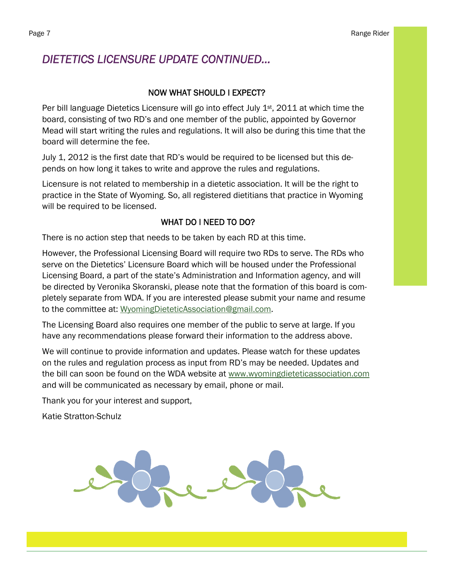### *DIETETICS LICENSURE UPDATE CONTINUED...*

### NOW WHAT SHOULD I EXPECT?

Per bill language Dietetics Licensure will go into effect July 1<sup>st</sup>, 2011 at which time the board, consisting of two RD's and one member of the public, appointed by Governor Mead will start writing the rules and regulations. It will also be during this time that the board will determine the fee.

July 1, 2012 is the first date that RD's would be required to be licensed but this depends on how long it takes to write and approve the rules and regulations.

Licensure is not related to membership in a dietetic association. It will be the right to practice in the State of Wyoming. So, all registered dietitians that practice in Wyoming will be required to be licensed.

### WHAT DO I NEED TO DO?

There is no action step that needs to be taken by each RD at this time.

However, the Professional Licensing Board will require two RDs to serve. The RDs who serve on the Dietetics' Licensure Board which will be housed under the Professional Licensing Board, a part of the state's Administration and Information agency, and will be directed by Veronika Skoranski, please note that the formation of this board is completely separate from WDA. If you are interested please submit your name and resume to the committee at: [WyomingDieteticAssociation@gmail.com.](mailto:WyomingDieteticAssociation@gmail.com)

The Licensing Board also requires one member of the public to serve at large. If you have any recommendations please forward their information to the address above.

We will continue to provide information and updates. Please watch for these updates on the rules and regulation process as input from RD's may be needed. Updates and the bill can soon be found on the WDA website at [www.wyomingdieteticassociation.com](http://www.wyomingdieteticassociation.com)  and will be communicated as necessary by email, phone or mail.

Thank you for your interest and support,

Katie Stratton-Schulz